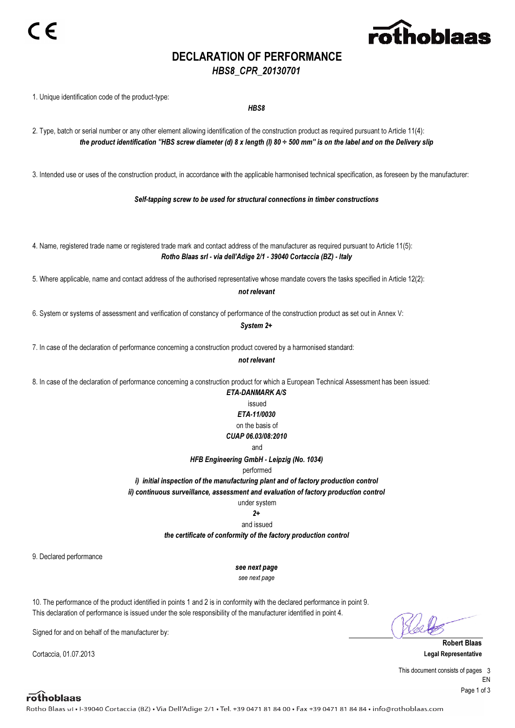

## DECLARATION OF PERFORMANCE

## HBS8\_CPR\_20130701

the product identification ''HBS screw diameter (d) 8 x length (l) 80 ÷ 500 mm'' is on the label and on the Delivery slip 1. Unique identification code of the product-type: HBS8 2. Type, batch or serial number or any other element allowing identification of the construction product as required pursuant to Article 11(4): not relevant 3. Intended use or uses of the construction product, in accordance with the applicable harmonised technical specification, as foreseen by the manufacturer: Self-tapping screw to be used for structural connections in timber constructions 4. Name, registered trade name or registered trade mark and contact address of the manufacturer as required pursuant to Article 11(5): Rotho Blaas srl - via dell'Adige 2/1 - 39040 Cortaccia (BZ) - Italy 5. Where applicable, name and contact address of the authorised representative whose mandate covers the tasks specified in Article 12(2): not relevant 6. System or systems of assessment and verification of constancy of performance of the construction product as set out in Annex V: System 2+ 7. In case of the declaration of performance concerning a construction product covered by a harmonised standard: 8. In case of the declaration of performance concerning a construction product for which a European Technical Assessment has been issued: under system ETA-DANMARK A/S issued ETA-11/0030 on the basis of CUAP 06.03/08:2010 and HFB Engineering GmbH - Leipzig (No. 1034) performed i) initial inspection of the manufacturing plant and of factory production control ii) continuous surveillance, assessment and evaluation of factory production control  $2+$ and issued the certificate of conformity of the factory production control 9. Declared performance see next page see next page 10. The performance of the product identified in points 1 and 2 is in conformity with the declared performance in point 9. This declaration of performance is issued under the sole responsibility of the manufacturer identified in point 4.

Signed for and on behalf of the manufacturer by:

Cortaccia, 01.07.2013 Legal Representative

Robert Blaas

This document consists of pages 3 EN Page 1 of 3

rothoblaas

Rotho Blaas srl . I-39040 Cortaccia (BZ) . Via Dell'Adige 2/1 . Tel. +39 0471 81 84 00 . Fax +39 0471 81 84 84 . info@rothoblaas.com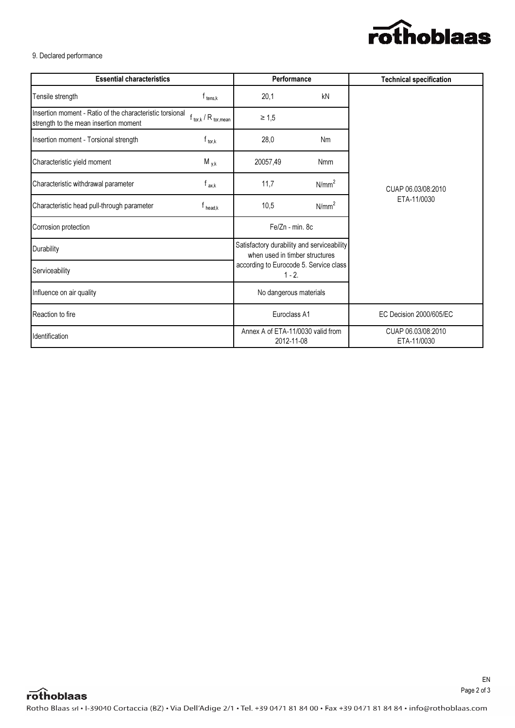

9. Declared performance

| <b>Essential characteristics</b>                                                                  |                              | <b>Performance</b>                                                           |                   | <b>Technical specification</b>    |  |  |  |  |
|---------------------------------------------------------------------------------------------------|------------------------------|------------------------------------------------------------------------------|-------------------|-----------------------------------|--|--|--|--|
| Tensile strength                                                                                  | $f_{\text{tens},k}$          | 20,1                                                                         | kN                |                                   |  |  |  |  |
| Insertion moment - Ratio of the characteristic torsional<br>strength to the mean insertion moment | $f_{tor,k}$ / $R_{tor,mean}$ | $\geq 1,5$                                                                   |                   |                                   |  |  |  |  |
| Insertion moment - Torsional strength                                                             | $f_{\text{tor},k}$           | 28,0<br>Nm                                                                   |                   |                                   |  |  |  |  |
| Characteristic yield moment                                                                       | $M_{y,k}$                    | 20057,49                                                                     | <b>Nmm</b>        |                                   |  |  |  |  |
| Characteristic withdrawal parameter                                                               | $f_{ax,k}$                   | 11,7                                                                         | N/mm <sup>2</sup> | CUAP 06.03/08:2010                |  |  |  |  |
| Characteristic head pull-through parameter                                                        | $T$ head.k                   | 10,5                                                                         | N/mm <sup>2</sup> | ETA-11/0030                       |  |  |  |  |
| Corrosion protection                                                                              |                              | Fe/Zn - min. 8c                                                              |                   |                                   |  |  |  |  |
| Durability                                                                                        |                              | Satisfactory durability and serviceability<br>when used in timber structures |                   |                                   |  |  |  |  |
| Serviceability                                                                                    |                              | according to Eurocode 5. Service class<br>$1 - 2$ .                          |                   |                                   |  |  |  |  |
| Influence on air quality                                                                          |                              | No dangerous materials                                                       |                   |                                   |  |  |  |  |
| Reaction to fire                                                                                  |                              | Euroclass A1                                                                 |                   | EC Decision 2000/605/EC           |  |  |  |  |
| Identification                                                                                    |                              | Annex A of ETA-11/0030 valid from<br>2012-11-08                              |                   | CUAP 06.03/08:2010<br>ETA-11/0030 |  |  |  |  |